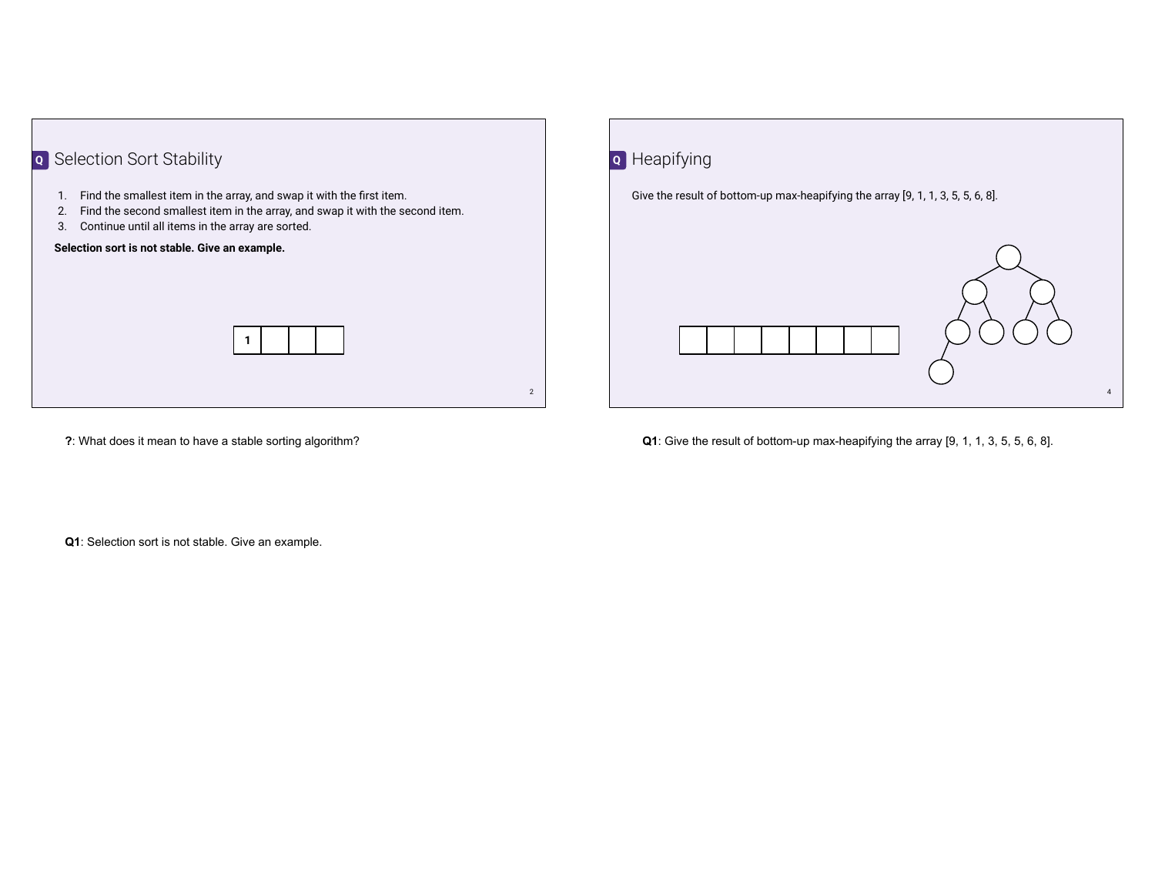



**?**: What does it mean to have a stable sorting algorithm?

**Q1**: Give the result of bottom-up max-heapifying the array [9, 1, 1, 3, 5, 5, 6, 8].

**Q1**: Selection sort is not stable. Give an example.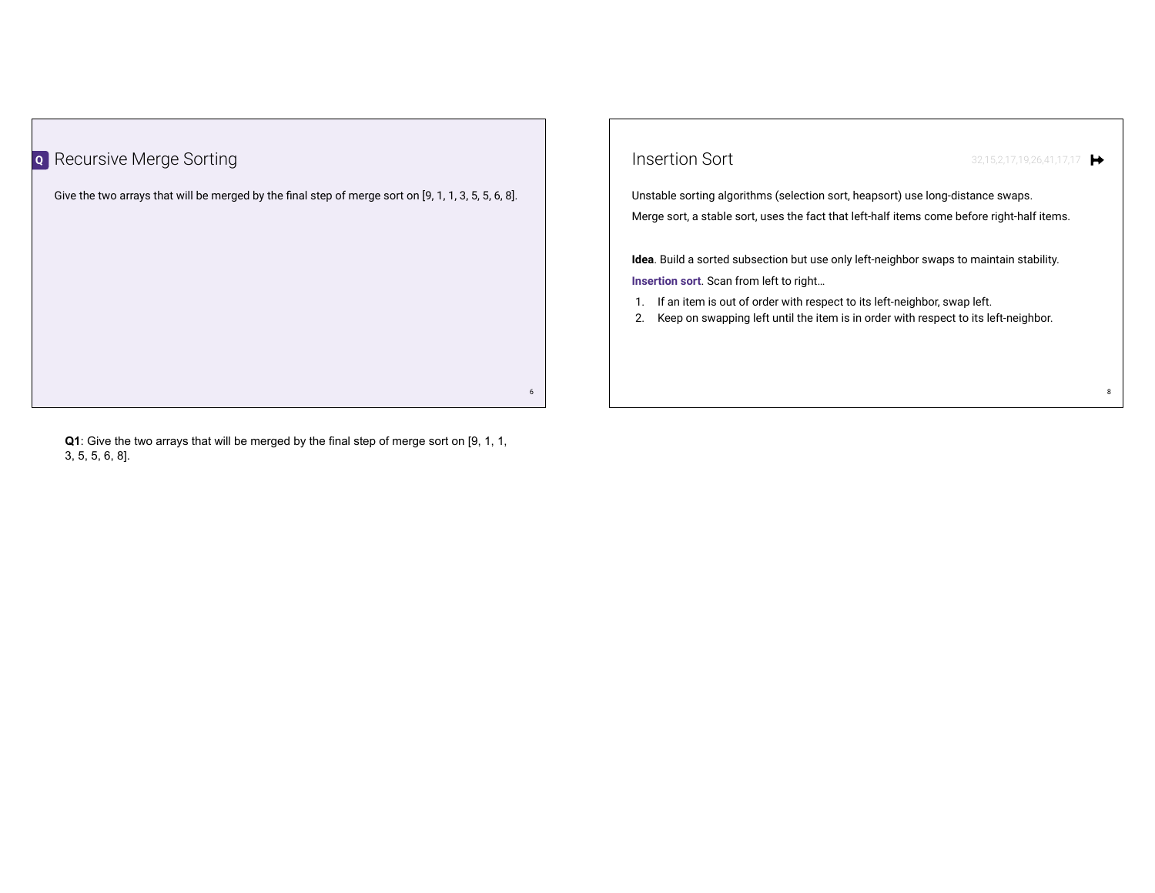

**Q1**: Give the two arrays that will be merged by the final step of merge sort on [9, 1, 1, 3, 5, 5, 6, 8].

| Insertion Sort                                                                                                                                                              | 32,15,2,17,19,26,41,17,17 |
|-----------------------------------------------------------------------------------------------------------------------------------------------------------------------------|---------------------------|
| Unstable sorting algorithms (selection sort, heapsort) use long-distance swaps.                                                                                             |                           |
| Merge sort, a stable sort, uses the fact that left-half items come before right-half items.                                                                                 |                           |
| <b>Idea</b> . Build a sorted subsection but use only left-neighbor swaps to maintain stability.<br><b>Insertion sort</b> . Scan from left to right                          |                           |
| If an item is out of order with respect to its left-neighbor, swap left.<br>1.<br>Keep on swapping left until the item is in order with respect to its left-neighbor.<br>2. |                           |
|                                                                                                                                                                             |                           |
|                                                                                                                                                                             |                           |

8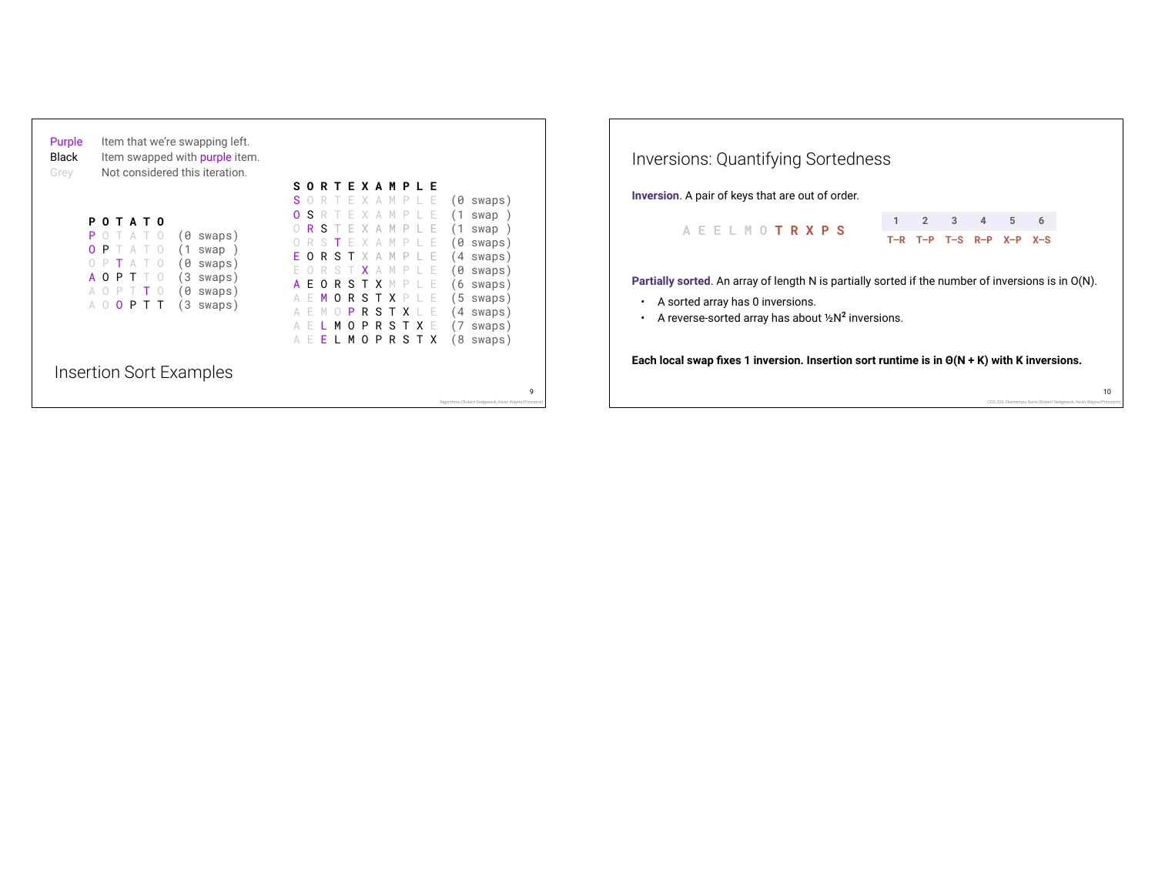| Purple<br><b>Black</b><br>Grey<br>P<br>P<br>0<br>A<br>A | Item that we're swapping left.<br>Item swapped with purple item.<br>Not considered this iteration.<br><b>T A T 0</b><br>n<br>(0 swaps)<br>Р<br>swap<br>0<br>swaps)<br>3<br>swaps)<br>0<br>P<br>0<br>swaps)<br>3<br>swaps)<br>PTT<br>0<br>$\left( \right)$ | T F X A M P I F<br>s.<br>n<br>R<br>6)<br>s<br>swaps)<br>$\bigcirc$<br>O<br>S<br>(1)<br>swap<br>R<br>swap<br>0<br>swaps)<br>$\overline{4}$<br>swaps)<br>' 0<br>swaps)<br>6<br>swaps)<br>E<br>R<br>$\Omega$<br>s<br>x<br>5<br>swaps)<br>swaps)<br>4<br>R<br>S<br>Ρ<br>R<br>P<br>swaps)<br>М<br>S<br>$\Omega$<br>x<br>8<br>MOPRST<br>swaps)<br>A<br>E<br>X<br>Ł |
|---------------------------------------------------------|-----------------------------------------------------------------------------------------------------------------------------------------------------------------------------------------------------------------------------------------------------------|--------------------------------------------------------------------------------------------------------------------------------------------------------------------------------------------------------------------------------------------------------------------------------------------------------------------------------------------------------------|
|                                                         | Insertion Sort Examples                                                                                                                                                                                                                                   | 9<br>Algorithms (Robert Sedgewick, Kevin Wayne/Princeton)                                                                                                                                                                                                                                                                                                    |